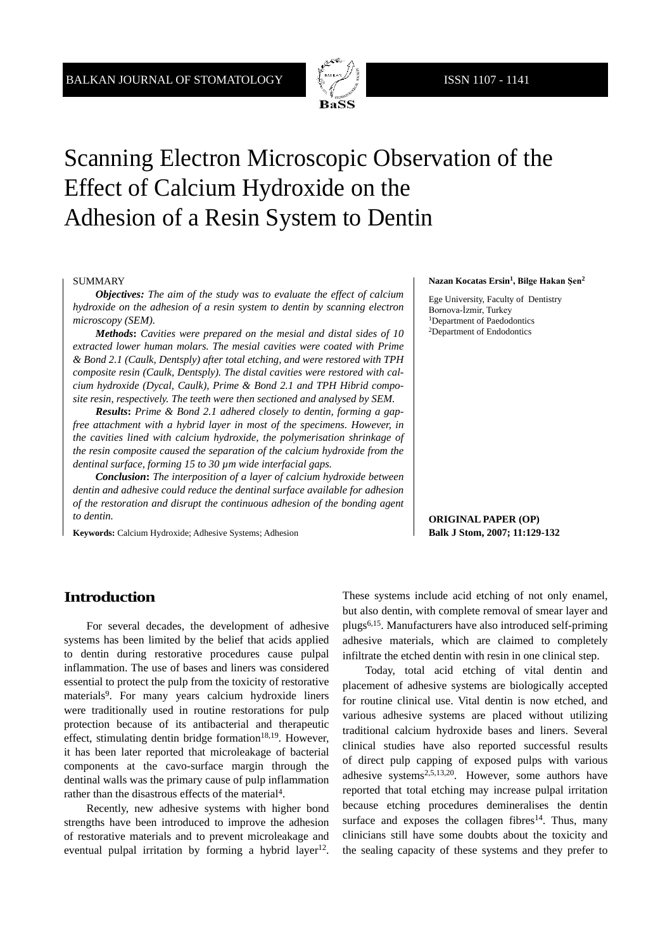

# Scanning Electron Microscopic Observation of the Effect of Calcium Hydroxide on the Adhesion of a Resin System to Dentin

#### SUMMARY

*Objectives: The aim of the study was to evaluate the effect of calcium hydroxide on the adhesion of a resin system to dentin by scanning electron microscopy (SEM).* 

*Methods***:** *Cavities were prepared on the mesial and distal sides of 10 extracted lower human molars. The mesial cavities were coated with Prime & Bond 2.1 (Caulk, Dentsply) after total etching, and were restored with TPH composite resin (Caulk, Dentsply). The distal cavities were restored with calcium hydroxide (Dycal, Caulk), Prime & Bond 2.1 and TPH Hibrid composite resin, respectively. The teeth were then sectioned and analysed by SEM.* 

*Results***:** *Prime & Bond 2.1 adhered closely to dentin, forming a gapfree attachment with a hybrid layer in most of the specimens. However, in the cavities lined with calcium hydroxide, the polymerisation shrinkage of the resin composite caused the separation of the calcium hydroxide from the dentinal surface, forming 15 to 30 µm wide interfacial gaps.* 

*Conclusion***:** *The interposition of a layer of calcium hydroxide between dentin and adhesive could reduce the dentinal surface available for adhesion of the restoration and disrupt the continuous adhesion of the bonding agent to dentin.*

**Keywords:** Calcium Hydroxide; Adhesive Systems; Adhesion

#### **Nazan Kocatas Ersin1, Bilge Hakan Şen<sup>2</sup>**

Ege University, Faculty of Dentistry Bornova-İzmir, Turkey 1Department of Paedodontics 2Department of Endodontics

**ORIGINAL PAPER (OP) Balk J Stom, 2007; 11:129-132**

#### **Introduction**

For several decades, the development of adhesive systems has been limited by the belief that acids applied to dentin during restorative procedures cause pulpal inflammation. The use of bases and liners was considered essential to protect the pulp from the toxicity of restorative materials<sup>9</sup>. For many years calcium hydroxide liners were traditionally used in routine restorations for pulp protection because of its antibacterial and therapeutic effect, stimulating dentin bridge formation $18,19$ . However, it has been later reported that microleakage of bacterial components at the cavo-surface margin through the dentinal walls was the primary cause of pulp inflammation rather than the disastrous effects of the material<sup>4</sup>.

Recently, new adhesive systems with higher bond strengths have been introduced to improve the adhesion of restorative materials and to prevent microleakage and eventual pulpal irritation by forming a hybrid layer<sup>12</sup>.

These systems include acid etching of not only enamel, but also dentin, with complete removal of smear layer and plugs6,15. Manufacturers have also introduced self-priming adhesive materials, which are claimed to completely infiltrate the etched dentin with resin in one clinical step.

Today, total acid etching of vital dentin and placement of adhesive systems are biologically accepted for routine clinical use. Vital dentin is now etched, and various adhesive systems are placed without utilizing traditional calcium hydroxide bases and liners. Several clinical studies have also reported successful results of direct pulp capping of exposed pulps with various adhesive systems<sup>2,5,13,20</sup>. However, some authors have reported that total etching may increase pulpal irritation because etching procedures demineralises the dentin surface and exposes the collagen fibres<sup>14</sup>. Thus, many clinicians still have some doubts about the toxicity and the sealing capacity of these systems and they prefer to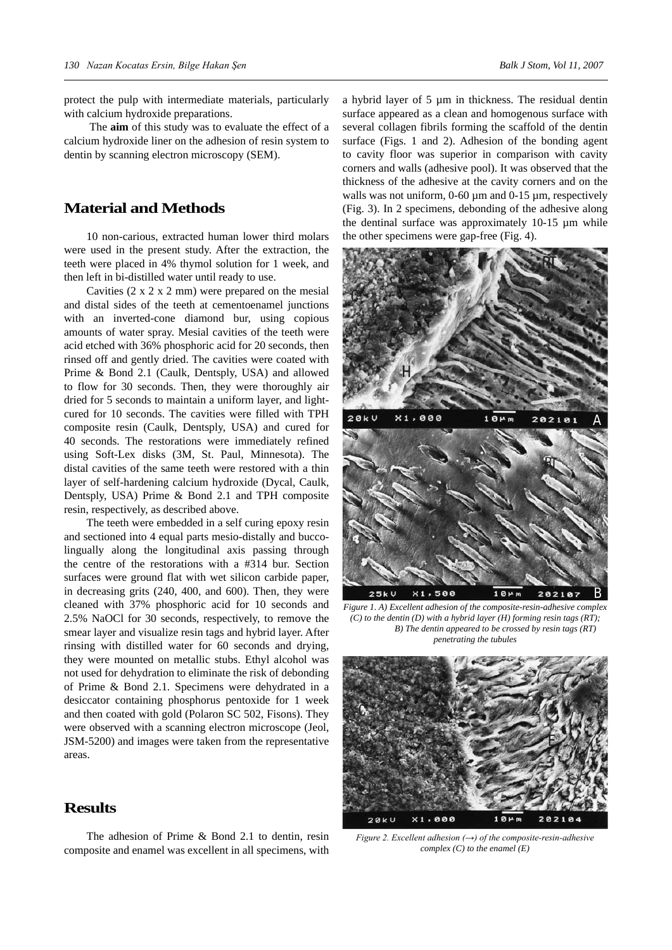protect the pulp with intermediate materials, particularly with calcium hydroxide preparations.

 The **aim** of this study was to evaluate the effect of a calcium hydroxide liner on the adhesion of resin system to dentin by scanning electron microscopy (SEM).

#### **Material and Methods**

10 non-carious, extracted human lower third molars were used in the present study. After the extraction, the teeth were placed in 4% thymol solution for 1 week, and then left in bi-distilled water until ready to use.

Cavities  $(2 \times 2 \times 2 \text{ mm})$  were prepared on the mesial and distal sides of the teeth at cementoenamel junctions with an inverted-cone diamond bur, using copious amounts of water spray. Mesial cavities of the teeth were acid etched with 36% phosphoric acid for 20 seconds, then rinsed off and gently dried. The cavities were coated with Prime & Bond 2.1 (Caulk, Dentsply, USA) and allowed to flow for 30 seconds. Then, they were thoroughly air dried for 5 seconds to maintain a uniform layer, and lightcured for 10 seconds. The cavities were filled with TPH composite resin (Caulk, Dentsply, USA) and cured for 40 seconds. The restorations were immediately refined using Soft-Lex disks (3M, St. Paul, Minnesota). The distal cavities of the same teeth were restored with a thin layer of self-hardening calcium hydroxide (Dycal, Caulk, Dentsply, USA) Prime & Bond 2.1 and TPH composite resin, respectively, as described above.

The teeth were embedded in a self curing epoxy resin and sectioned into 4 equal parts mesio-distally and buccolingually along the longitudinal axis passing through the centre of the restorations with a #314 bur. Section surfaces were ground flat with wet silicon carbide paper, in decreasing grits (240, 400, and 600). Then, they were cleaned with 37% phosphoric acid for 10 seconds and 2.5% NaOCl for 30 seconds, respectively, to remove the smear layer and visualize resin tags and hybrid layer. After rinsing with distilled water for 60 seconds and drying, they were mounted on metallic stubs. Ethyl alcohol was not used for dehydration to eliminate the risk of debonding of Prime & Bond 2.1. Specimens were dehydrated in a desiccator containing phosphorus pentoxide for 1 week and then coated with gold (Polaron SC 502, Fisons). They were observed with a scanning electron microscope (Jeol, JSM-5200) and images were taken from the representative areas.

## **Results**

The adhesion of Prime & Bond 2.1 to dentin, resin composite and enamel was excellent in all specimens, with a hybrid layer of 5 µm in thickness. The residual dentin surface appeared as a clean and homogenous surface with several collagen fibrils forming the scaffold of the dentin surface (Figs. 1 and 2). Adhesion of the bonding agent to cavity floor was superior in comparison with cavity corners and walls (adhesive pool). It was observed that the thickness of the adhesive at the cavity corners and on the walls was not uniform, 0-60  $\mu$ m and 0-15  $\mu$ m, respectively (Fig. 3). In 2 specimens, debonding of the adhesive along the dentinal surface was approximately 10-15 µm while the other specimens were gap-free (Fig. 4).



*Figure 1. A) Excellent adhesion of the composite-resin-adhesive complex (C) to the dentin (D) with a hybrid layer (H) forming resin tags (RT); B) The dentin appeared to be crossed by resin tags (RT) penetrating the tubules*



*Figure 2. Excellent adhesion (→) of the composite-resin-adhesive complex (C) to the enamel (E)*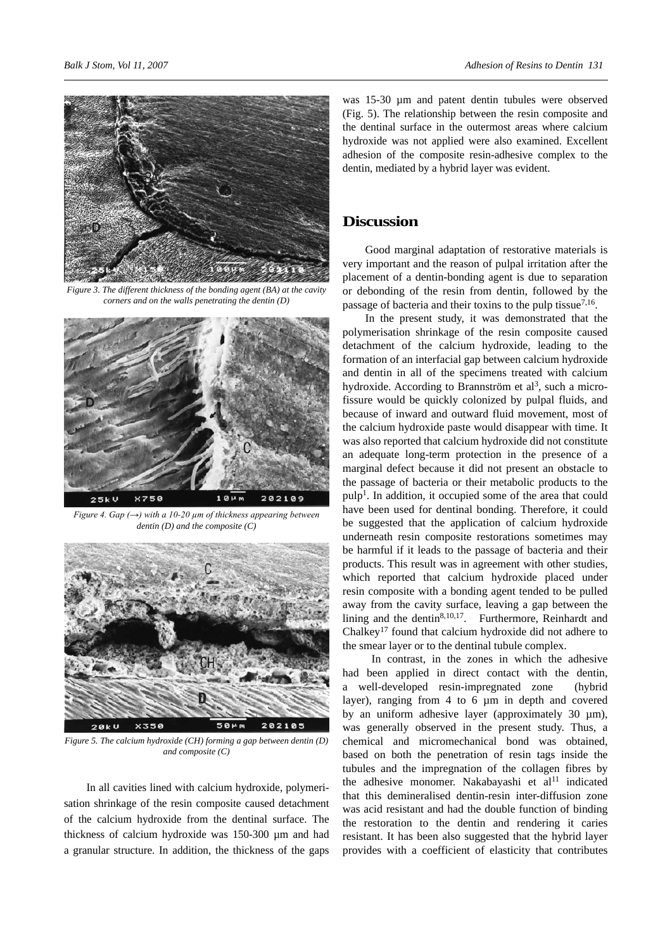

*Figure 3. The different thickness of the bonding agent (BA) at the cavity corners and on the walls penetrating the dentin (D)*



*Figure 4. Gap (→) with a 10-20 µm of thickness appearing between dentin (D) and the composite (C)*



*Figure 5. The calcium hydroxide (CH) forming a gap between dentin (D) and composite (C)*

In all cavities lined with calcium hydroxide, polymerisation shrinkage of the resin composite caused detachment of the calcium hydroxide from the dentinal surface. The thickness of calcium hydroxide was 150-300 µm and had a granular structure. In addition, the thickness of the gaps

was 15-30  $\mu$ m and patent dentin tubules were observed (Fig. 5). The relationship between the resin composite and the dentinal surface in the outermost areas where calcium hydroxide was not applied were also examined. Excellent adhesion of the composite resin-adhesive complex to the dentin, mediated by a hybrid layer was evident.

#### **Discussion**

Good marginal adaptation of restorative materials is very important and the reason of pulpal irritation after the placement of a dentin-bonding agent is due to separation or debonding of the resin from dentin, followed by the passage of bacteria and their toxins to the pulp tissue<sup>7,16</sup>.

In the present study, it was demonstrated that the polymerisation shrinkage of the resin composite caused detachment of the calcium hydroxide, leading to the formation of an interfacial gap between calcium hydroxide and dentin in all of the specimens treated with calcium hydroxide. According to Brannström et  $al^3$ , such a microfissure would be quickly colonized by pulpal fluids, and because of inward and outward fluid movement, most of the calcium hydroxide paste would disappear with time. It was also reported that calcium hydroxide did not constitute an adequate long-term protection in the presence of a marginal defect because it did not present an obstacle to the passage of bacteria or their metabolic products to the  $pulp<sup>1</sup>$ . In addition, it occupied some of the area that could have been used for dentinal bonding. Therefore, it could be suggested that the application of calcium hydroxide underneath resin composite restorations sometimes may be harmful if it leads to the passage of bacteria and their products. This result was in agreement with other studies, which reported that calcium hydroxide placed under resin composite with a bonding agent tended to be pulled away from the cavity surface, leaving a gap between the lining and the dentin $8,10,17$ . Furthermore, Reinhardt and Chalkey17 found that calcium hydroxide did not adhere to the smear layer or to the dentinal tubule complex.

 In contrast, in the zones in which the adhesive had been applied in direct contact with the dentin, a well-developed resin-impregnated zone (hybrid layer), ranging from 4 to 6 µm in depth and covered by an uniform adhesive layer (approximately  $30 \mu m$ ), was generally observed in the present study. Thus, a chemical and micromechanical bond was obtained, based on both the penetration of resin tags inside the tubules and the impregnation of the collagen fibres by the adhesive monomer. Nakabayashi et  $al<sup>11</sup>$  indicated that this demineralised dentin-resin inter-diffusion zone was acid resistant and had the double function of binding the restoration to the dentin and rendering it caries resistant. It has been also suggested that the hybrid layer provides with a coefficient of elasticity that contributes